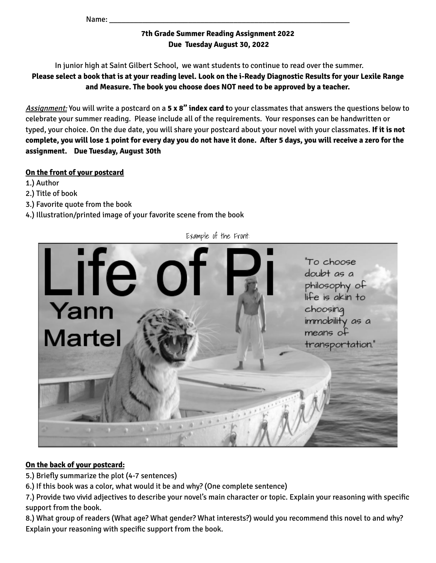Name: \_\_\_\_\_\_\_\_\_\_\_\_\_\_\_\_\_\_\_\_\_\_\_\_\_\_\_\_\_\_\_\_\_\_\_\_\_\_\_\_\_\_\_\_\_\_\_\_\_\_\_\_\_\_\_\_\_\_

## **7th Grade Summer Reading Assignment 2022 Due Tuesday August 30, 2022**

In junior high at Saint Gilbert School, we want students to continue to read over the summer. Please select a book that is at your reading level. Look on the i-Ready Diagnostic Results for your Lexile Range **and Measure. The book you choose does NOT need to be approved by a teacher.**

Assignment: You will write a postcard on a **5 x 8" index card t**o your classmates that answers the questions below to celebrate your summer reading. Please include all of the requirements. Your responses can be handwritten or typed, your choice. On the due date, you will share your postcard about your novel with your classmates. **If it is not** complete, you will lose 1 point for every day you do not have it done. After 5 days, you will receive a zero for the **assignment. Due Tuesday, August 30th**

## **On the front of your postcard**

- 1.) Author
- 2.) Title of book
- 3.) Favorite quote from the book
- 4.) Illustration/printed image of your favorite scene from the book



## Example of the Front:

## **On the back of your postcard:**

- 5.) Briefly summarize the plot (4-7 sentences)
- 6.) If this book was a color, what would it be and why? (One complete sentence)
- 7.) Provide two vivid adjectives to describe your novel's main character or topic. Explain your reasoning with specific support from the book.

8.) What group of readers (What age? What gender? What interests?) would you recommend this novel to and why? Explain your reasoning with specific support from the book.